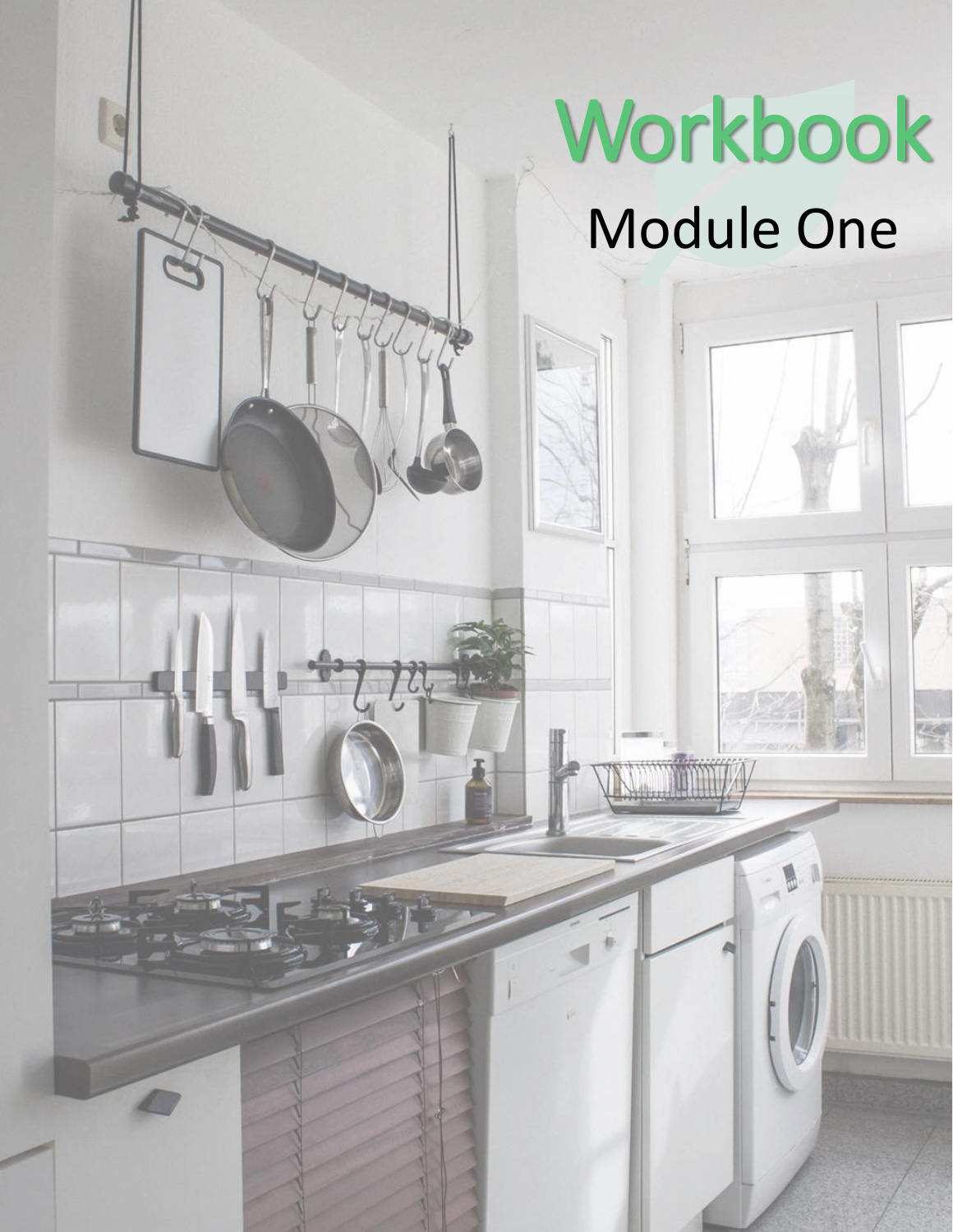## Workbook Module One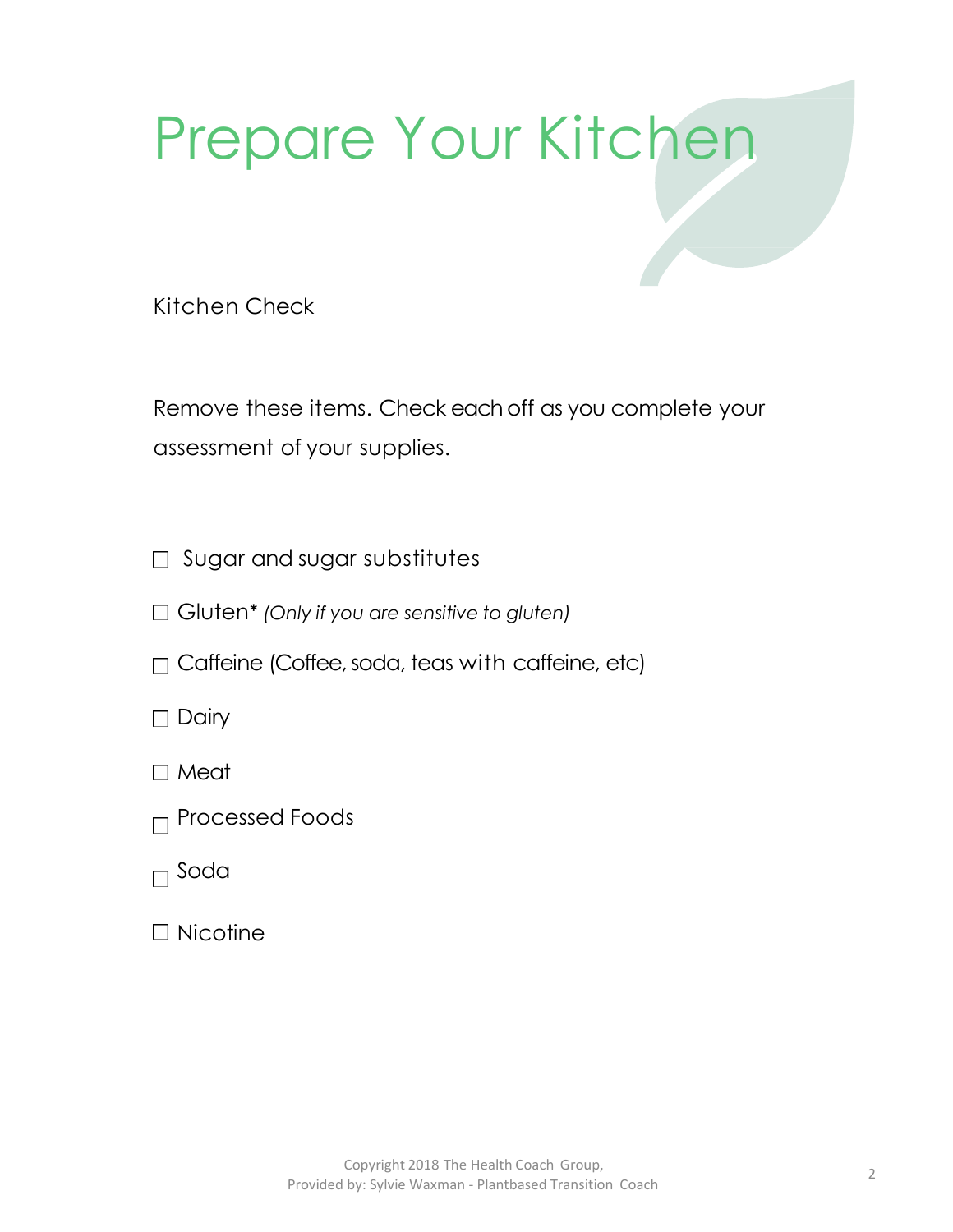## Prepare Your Kitchen

Kitchen Check

Remove these items. Check each off as you complete your assessment of your supplies.

- □ Sugar and sugar substitutes
- Gluten\* *(Only if you are sensitive to gluten)*
- $\Box$  Caffeine (Coffee, soda, teas with caffeine, etc)
- $\Box$  Dairy
- Meat
- $\Box$  Processed Foods
- $\Box$  Soda
- $\Box$  Nicotine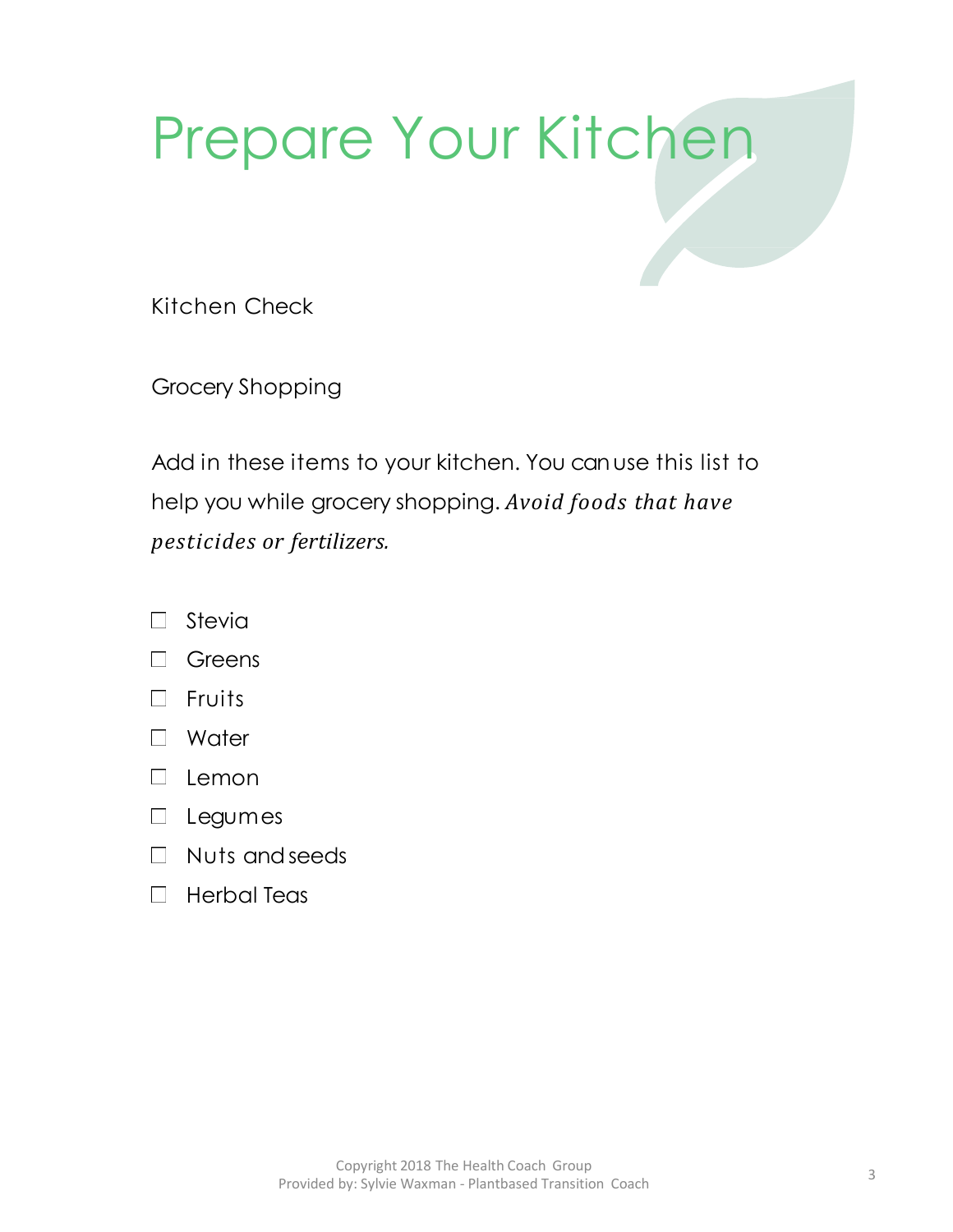## Prepare Your Kitchen

Kitchen Check

Grocery Shopping

Add in these items to your kitchen. You can use this list to help you while grocery shopping. *Avoid foods that have pesticides or fertilizers.*

- Stevia  $\Box$
- **Greens**  $\Box$
- $\Box$  Fruits
- □ Water
- $\Box$  Lemon
- Legumes
- $\Box$  Nuts and seeds
- $\Box$  Herbal Teas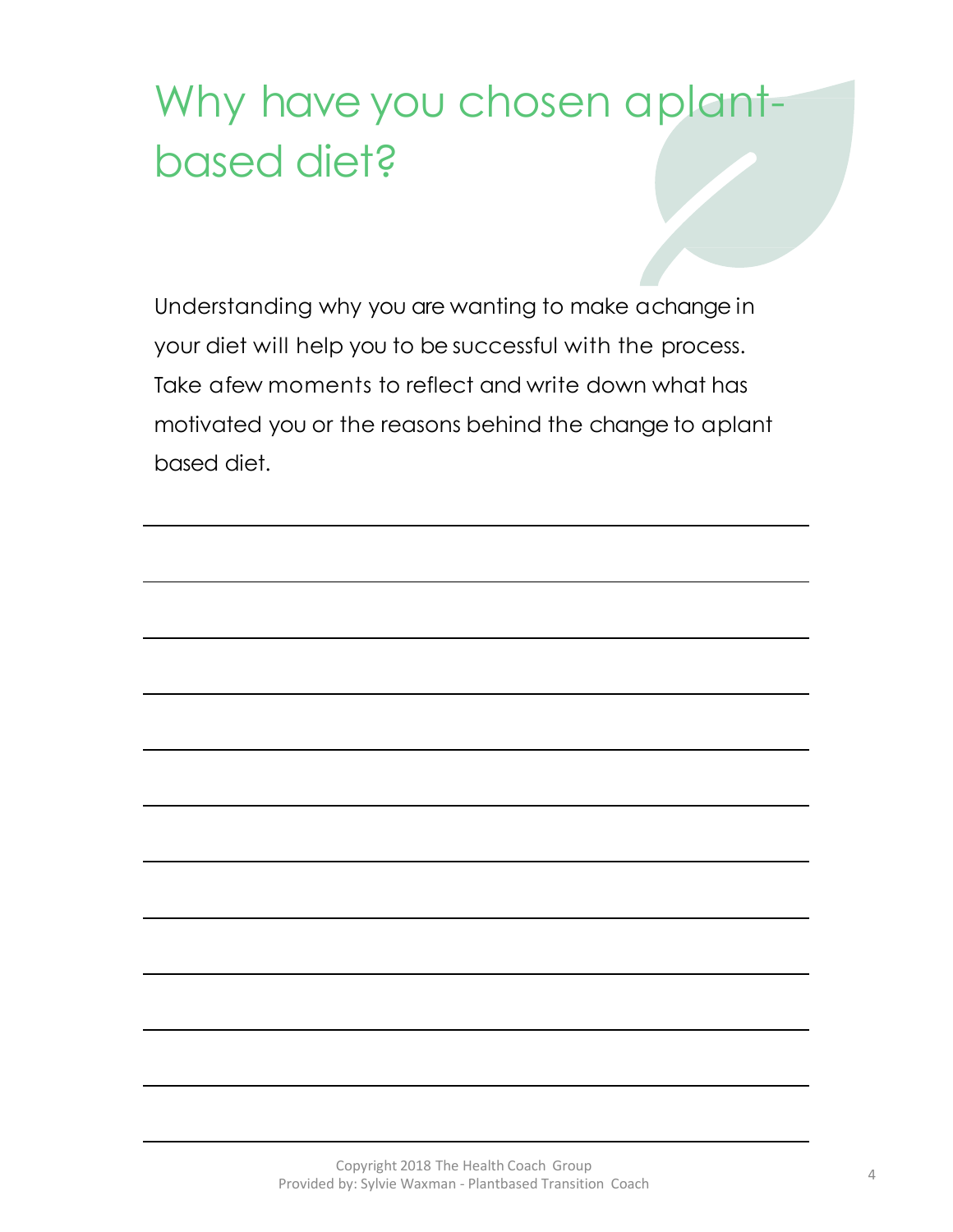## Why have you chosen a plantbased diet?

Understanding why you are wanting to make a change in your diet will help you to be successful with the process. Take a few moments to reflect and write down what has motivated you or the reasons behind the change to aplant based diet.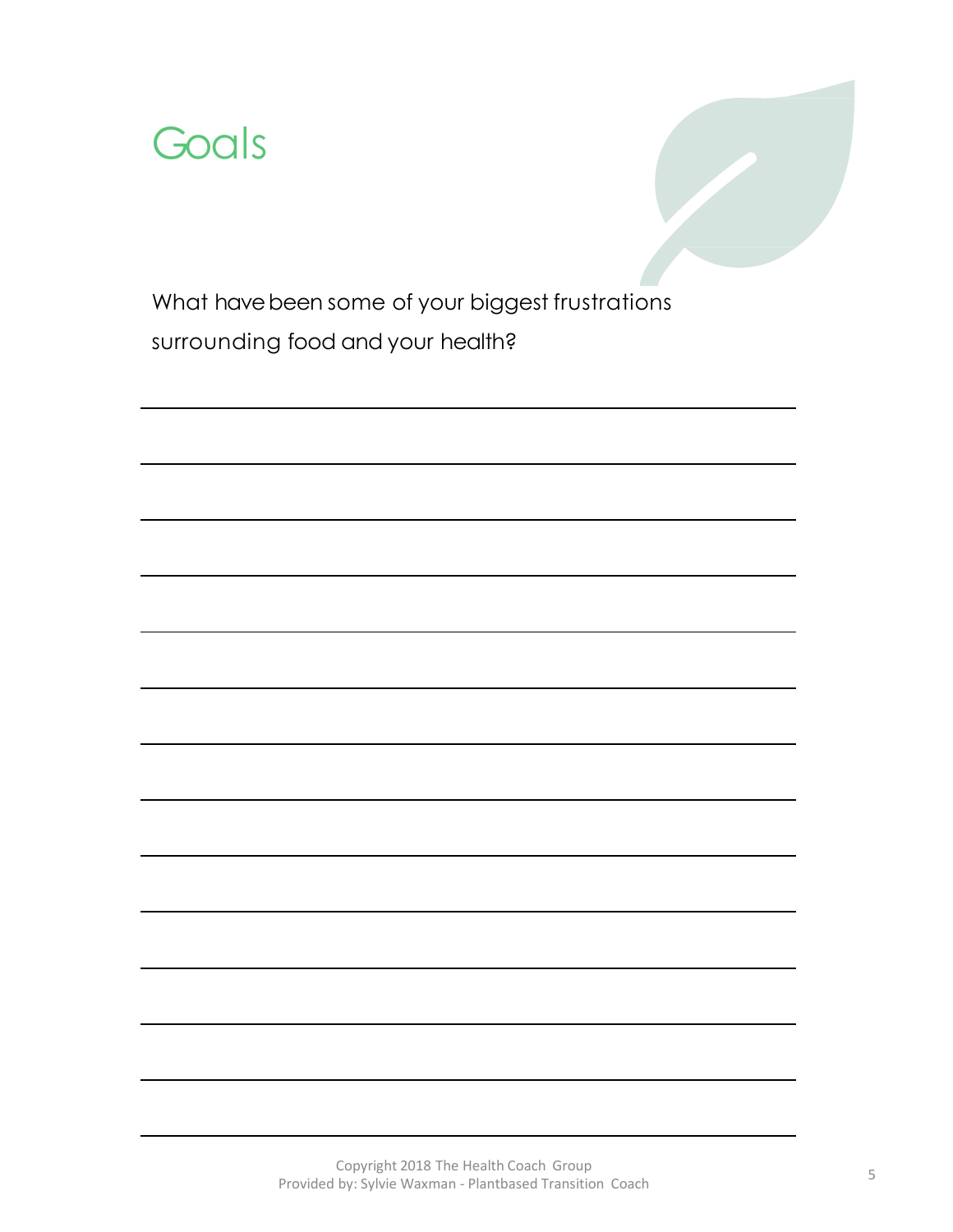

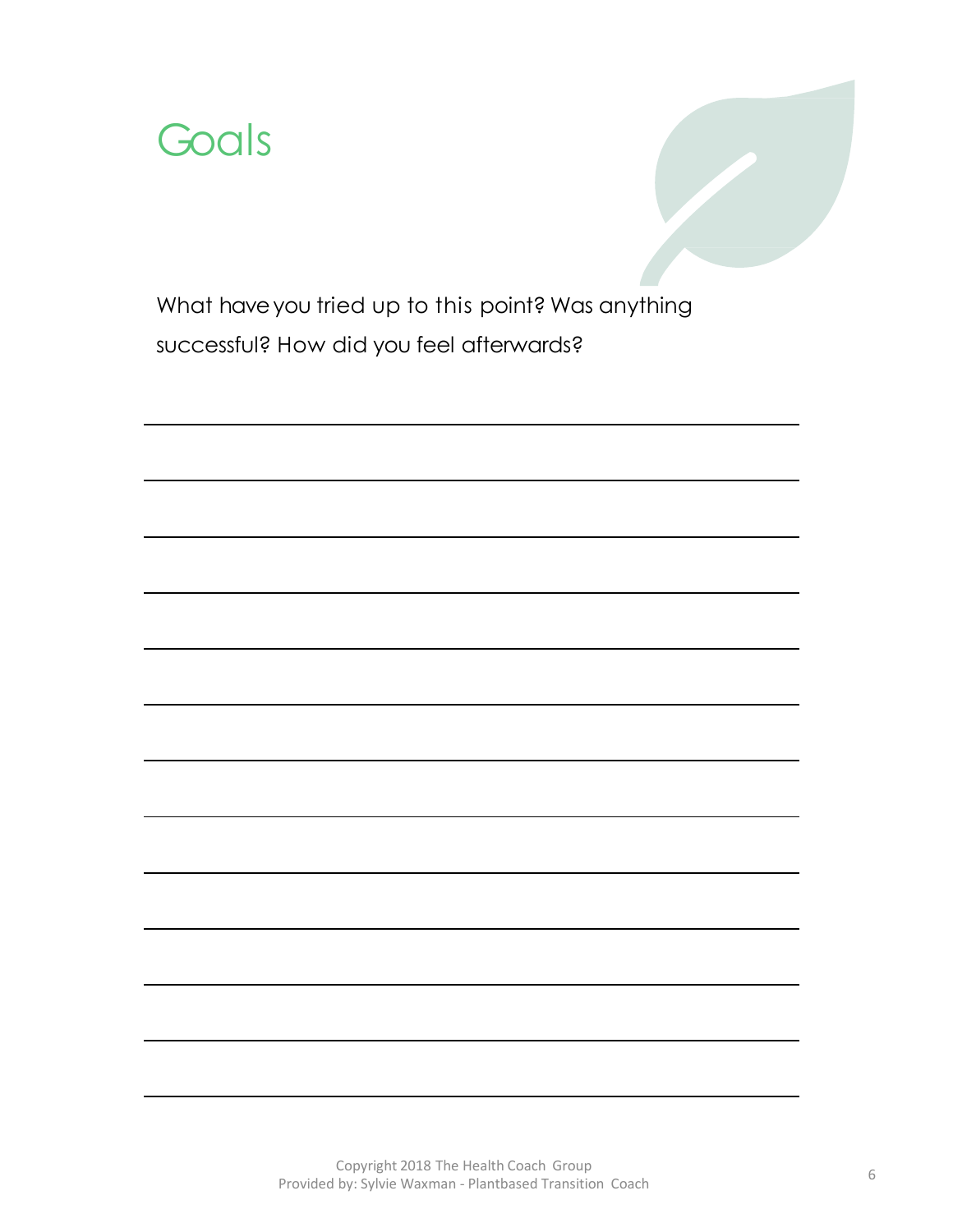

What have you tried up to this point? Was anything successful? How did you feel afterwards?

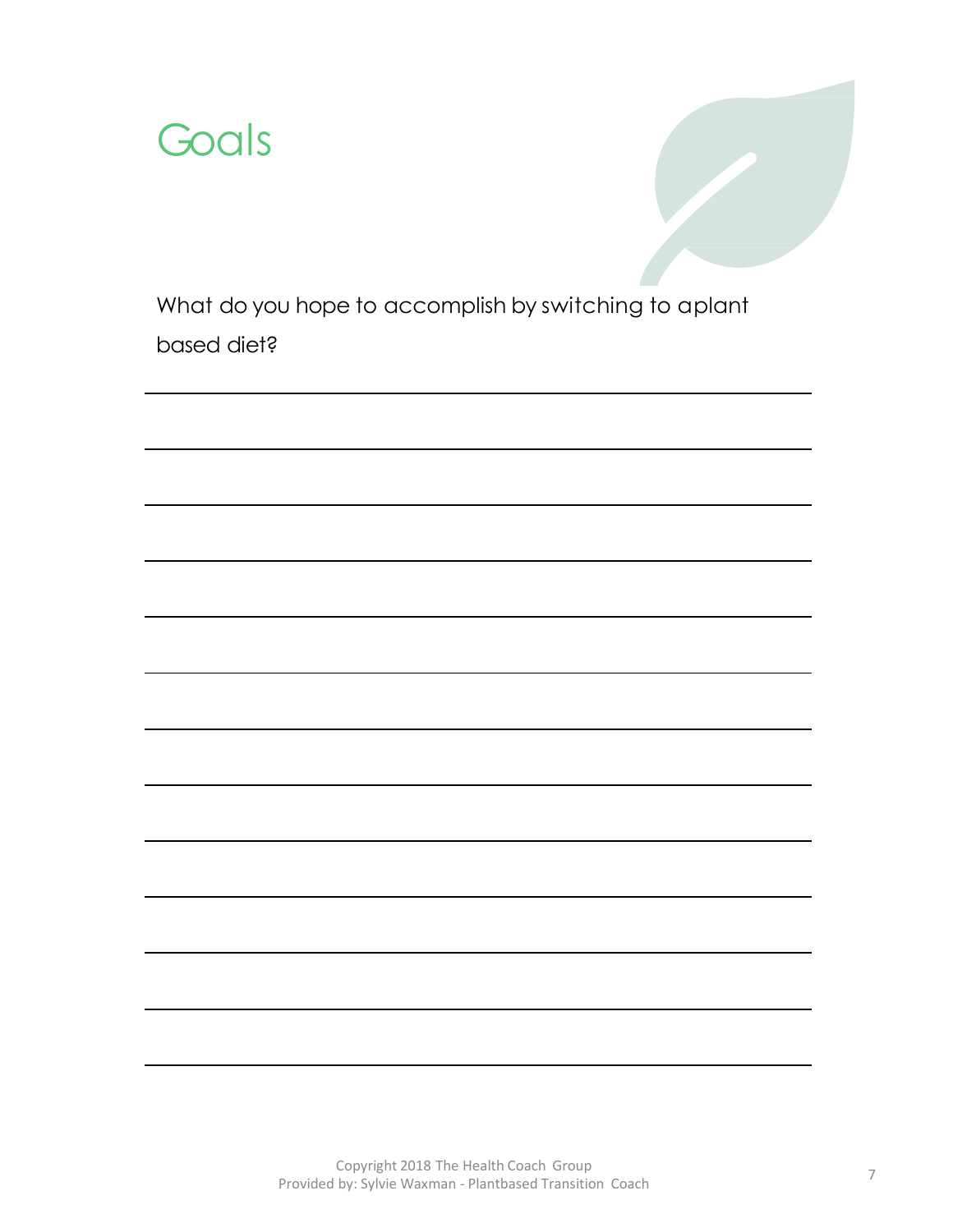

What do you hope to accomplish by switching to aplant based diet?

> Copyright 2018 The Health Coach Group Provided by: Sylvie Waxman - Plantbased Transition Coach <sup>7</sup>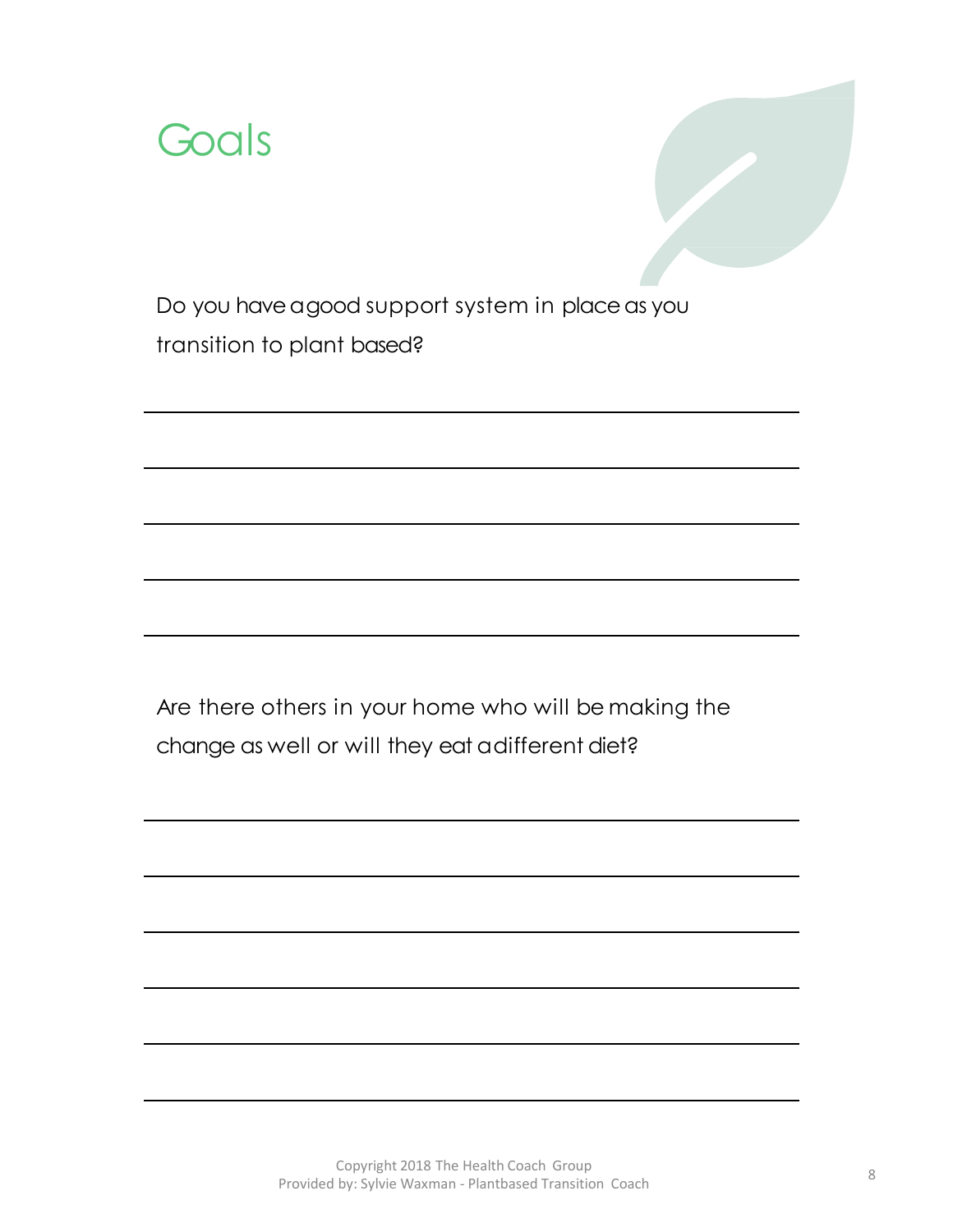



Do you have a good support system in place as you transition to plant based?

Are there others in your home who will be making the change as well or will they eat a different diet?